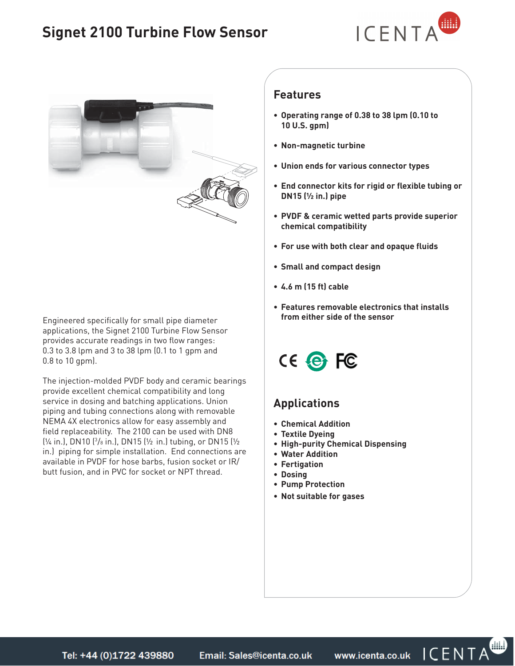# **Signet 2100 Turbine Flow Sensor**





**from either side of the sensor** Engineered specifically for small pipe diameter applications, the Signet 2100 Turbine Flow Sensor provides accurate readings in two flow ranges: 0.3 to 3.8 lpm and 3 to 38 lpm (0.1 to 1 gpm and 0.8 to 10 gpm).

The injection-molded PVDF body and ceramic bearings provide excellent chemical compatibility and long service in dosing and batching applications. Union piping and tubing connections along with removable NEMA 4X electronics allow for easy assembly and field replaceability. The 2100 can be used with DN8 (¼ in.), DN10 (3 /8 in.), DN15 (½ in.) tubing, or DN15 (½ in.) piping for simple installation. End connections are available in PVDF for hose barbs, fusion socket or IR/ butt fusion, and in PVC for socket or NPT thread.

#### **Features**

- **Operating range of 0.38 to 38 lpm (0.10 to 10 U.S. gpm)**
- **Non-magnetic turbine**
- **Union ends for various connector types**
- **End connector kits for rigid or flexible tubing or DN15 (½ in.) pipe**
- **PVDF & ceramic wetted parts provide superior chemical compatibility**
- **For use with both clear and opaque fluids**
- **Small and compact design**
- **4.6 m (15 ft) cable**
- **Features removable electronics that installs**



## **Applications**

- **Chemical Addition**
- **Textile Dyeing**
- **High-purity Chemical Dispensing**
- **Water Addition**
- **Fertigation**
- **Dosing**
- **Pump Protection**
- **Not suitable for gases**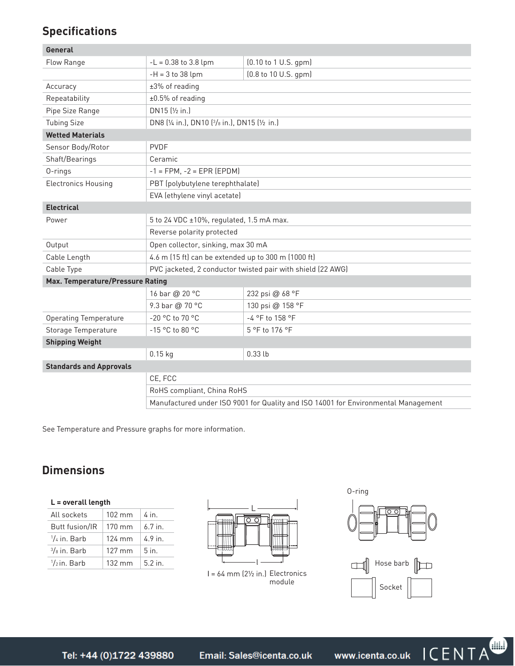# **Specifications**

| General                          |                                                                                    |                      |  |
|----------------------------------|------------------------------------------------------------------------------------|----------------------|--|
| Flow Range                       | $-L = 0.38$ to 3.8 lpm                                                             | (0.10 to 1 U.S. gpm) |  |
|                                  | $-H = 3 to 38$ lpm                                                                 | (0.8 to 10 U.S. gpm) |  |
| Accuracy                         | ±3% of reading                                                                     |                      |  |
| Repeatability                    | $±0.5%$ of reading                                                                 |                      |  |
| Pipe Size Range                  | DN15 (1/2 in.)                                                                     |                      |  |
| <b>Tubing Size</b>               | DN8 (1/4 in.), DN10 (3/8 in.), DN15 (1/2 in.)                                      |                      |  |
| <b>Wetted Materials</b>          |                                                                                    |                      |  |
| Sensor Body/Rotor                | <b>PVDF</b>                                                                        |                      |  |
| Shaft/Bearings                   | Ceramic                                                                            |                      |  |
| 0-rings                          | $-1 = FPM, -2 = EPR (EPDM)$                                                        |                      |  |
| <b>Electronics Housing</b>       | PBT (polybutylene terephthalate)                                                   |                      |  |
|                                  | EVA (ethylene vinyl acetate)                                                       |                      |  |
| <b>Electrical</b>                |                                                                                    |                      |  |
| Power                            | 5 to 24 VDC ±10%, regulated, 1.5 mA max.                                           |                      |  |
|                                  | Reverse polarity protected                                                         |                      |  |
| Output                           | Open collector, sinking, max 30 mA                                                 |                      |  |
| Cable Length                     | 4.6 m (15 ft) can be extended up to 300 m (1000 ft)                                |                      |  |
| Cable Type                       | PVC jacketed, 2 conductor twisted pair with shield (22 AWG)                        |                      |  |
| Max. Temperature/Pressure Rating |                                                                                    |                      |  |
|                                  | 16 bar @ 20 °C                                                                     | 232 psi @ 68 °F      |  |
|                                  | 9.3 bar @ 70 °C                                                                    | 130 psi @ 158 °F     |  |
| Operating Temperature            | -20 °C to 70 °C                                                                    | -4 °F to 158 °F      |  |
| Storage Temperature              | -15 °C to 80 °C                                                                    | 5 °F to 176 °F       |  |
| <b>Shipping Weight</b>           |                                                                                    |                      |  |
|                                  | $0.15$ kg                                                                          | $0.33$ lb            |  |
| <b>Standards and Approvals</b>   |                                                                                    |                      |  |
|                                  | CE, FCC                                                                            |                      |  |
|                                  | RoHS compliant, China RoHS                                                         |                      |  |
|                                  | Manufactured under ISO 9001 for Quality and ISO 14001 for Environmental Management |                      |  |

See Temperature and Pressure graphs for more information.

## **Dimensions**

| $L =$ overall length |  |
|----------------------|--|
|                      |  |

| All sockets            | $102 \text{ mm}$ | 4 in      |
|------------------------|------------------|-----------|
| <b>Butt fusion/IR</b>  | $170 \text{ mm}$ | $6.7$ in. |
| $\frac{1}{4}$ in. Barb | $124 \text{ mm}$ | $4.9$ in. |
| $\frac{3}{8}$ in. Barb | $127 \text{ mm}$ | $5$ in.   |
| $\frac{1}{2}$ in. Barb | $132 \text{ mm}$ | 52n       |



l = 64 mm (2½ in.) Electronics module





ICENTA

www.icenta.co.uk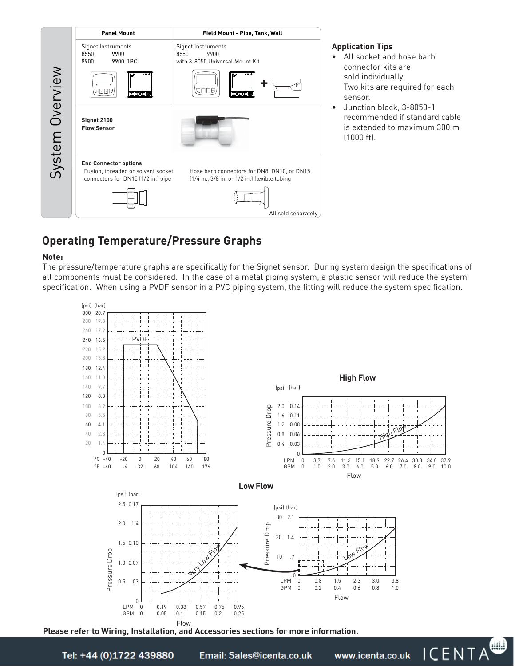

#### **Application Tips**

- All socket and hose barb connector kits are sold individually. Two kits are required for each sensor.
- Junction block, 3-8050-1 recommended if standard cable is extended to maximum 300 m (1000 ft).

## **Operating Temperature/Pressure Graphs**

#### **Note:**

The pressure/temperature graphs are specifically for the Signet sensor. During system design the specifications of all components must be considered. In the case of a metal piping system, a plastic sensor will reduce the system specification. When using a PVDF sensor in a PVC piping system, the fitting will reduce the system specification.



**Please refer to Wiring, Installation, and Accessories sections for more information.**

Email: Sales@icenta.co.uk

www.icenta.co.uk

ICENTA<sup>W</sup>